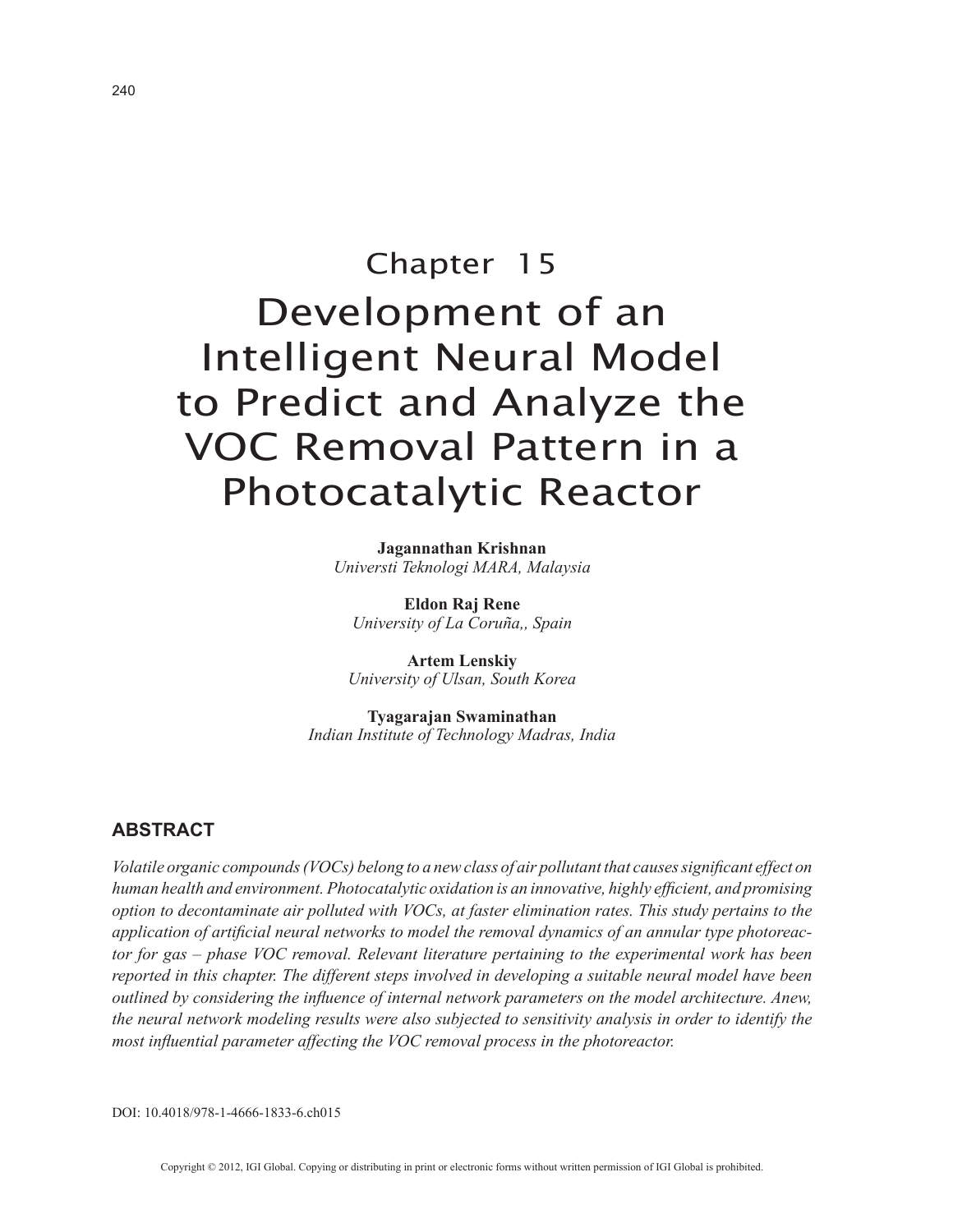# Chapter 15 Development of an Intelligent Neural Model to Predict and Analyze the VOC Removal Pattern in a Photocatalytic Reactor

**Jagannathan Krishnan** *Universti Teknologi MARA, Malaysia*

**Eldon Raj Rene** *University of La Coruña,, Spain*

**Artem Lenskiy** *University of Ulsan, South Korea*

**Tyagarajan Swaminathan** *Indian Institute of Technology Madras, India*

## **ABSTRACT**

*Volatile organic compounds (VOCs) belong to a new class of air pollutant that causes significant effect on human health and environment. Photocatalytic oxidation is an innovative, highly efficient, and promising option to decontaminate air polluted with VOCs, at faster elimination rates. This study pertains to the application of artificial neural networks to model the removal dynamics of an annular type photoreactor for gas – phase VOC removal. Relevant literature pertaining to the experimental work has been reported in this chapter. The different steps involved in developing a suitable neural model have been outlined by considering the influence of internal network parameters on the model architecture. Anew, the neural network modeling results were also subjected to sensitivity analysis in order to identify the most influential parameter affecting the VOC removal process in the photoreactor.*

DOI: 10.4018/978-1-4666-1833-6.ch015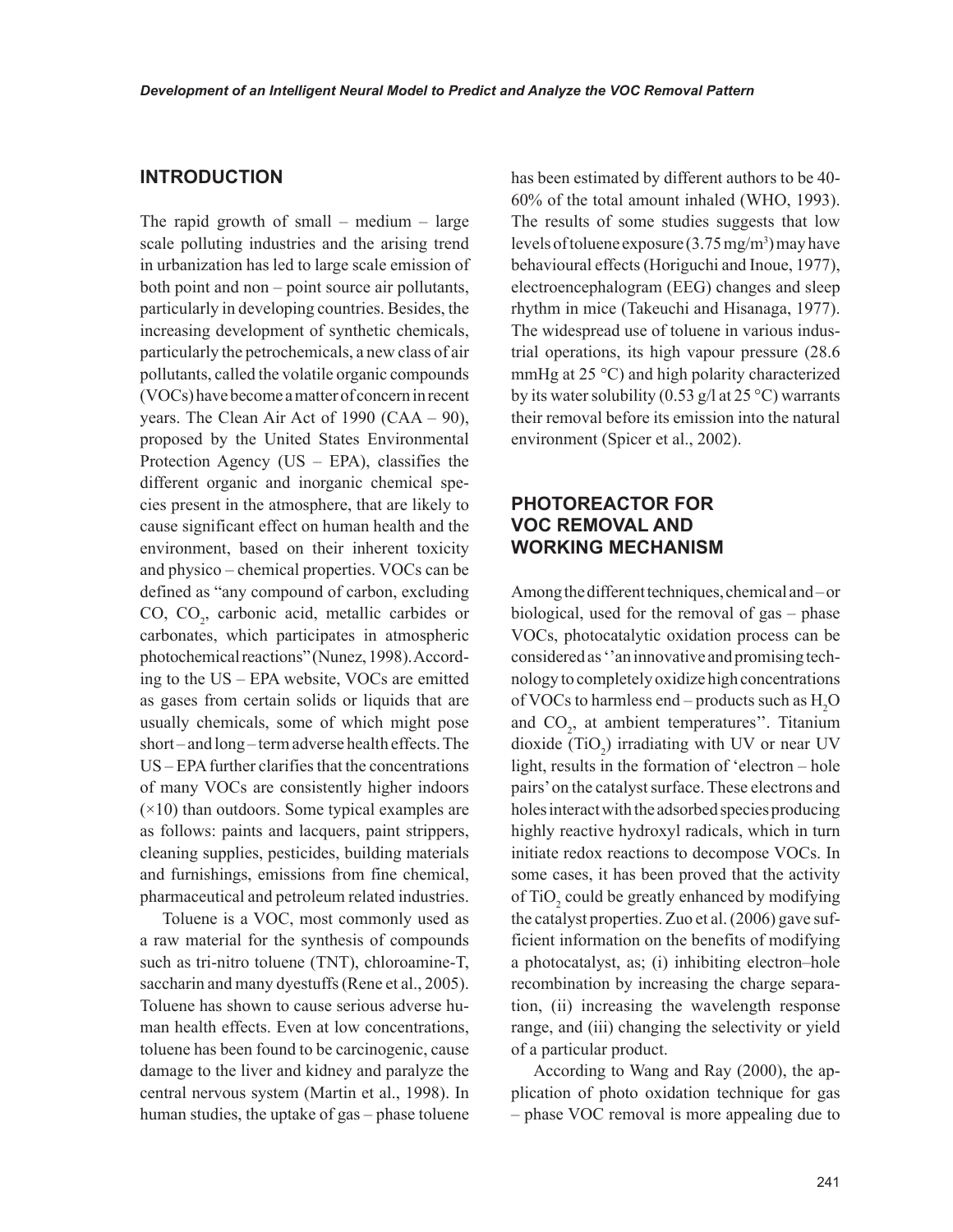## **INTRODUCTION**

The rapid growth of small – medium – large scale polluting industries and the arising trend in urbanization has led to large scale emission of both point and non – point source air pollutants, particularly in developing countries. Besides, the increasing development of synthetic chemicals, particularly the petrochemicals, a new class of air pollutants, called the volatile organic compounds (VOCs) have become a matter of concern in recent years. The Clean Air Act of 1990 (CAA – 90), proposed by the United States Environmental Protection Agency (US – EPA), classifies the different organic and inorganic chemical species present in the atmosphere, that are likely to cause significant effect on human health and the environment, based on their inherent toxicity and physico – chemical properties. VOCs can be defined as "any compound of carbon, excluding CO,  $CO_2$ , carbonic acid, metallic carbides or carbonates, which participates in atmospheric photochemical reactions" (Nunez, 1998). According to the US – EPA website, VOCs are emitted as gases from certain solids or liquids that are usually chemicals, some of which might pose short – and long – term adverse health effects. The US – EPA further clarifies that the concentrations of many VOCs are consistently higher indoors  $(\times 10)$  than outdoors. Some typical examples are as follows: paints and lacquers, paint strippers, cleaning supplies, pesticides, building materials and furnishings, emissions from fine chemical, pharmaceutical and petroleum related industries.

Toluene is a VOC, most commonly used as a raw material for the synthesis of compounds such as tri-nitro toluene (TNT), chloroamine-T, saccharin and many dyestuffs (Rene et al., 2005). Toluene has shown to cause serious adverse human health effects. Even at low concentrations, toluene has been found to be carcinogenic, cause damage to the liver and kidney and paralyze the central nervous system (Martin et al., 1998). In human studies, the uptake of gas – phase toluene has been estimated by different authors to be 40- 60% of the total amount inhaled (WHO, 1993). The results of some studies suggests that low levels of toluene exposure  $(3.75 \,\mathrm{mg/m^3})$  may have behavioural effects (Horiguchi and Inoue, 1977), electroencephalogram (EEG) changes and sleep rhythm in mice (Takeuchi and Hisanaga, 1977). The widespread use of toluene in various industrial operations, its high vapour pressure (28.6 mmHg at 25 °C) and high polarity characterized by its water solubility (0.53 g/l at 25 °C) warrants their removal before its emission into the natural environment (Spicer et al., 2002).

## **PHOTOREACTOR FOR VOC REMOVAL AND WORKING MECHANISM**

Among the different techniques, chemical and – or biological, used for the removal of gas – phase VOCs, photocatalytic oxidation process can be considered as ''an innovative and promising technology to completely oxidize high concentrations of VOCs to harmless end – products such as  $H_2O$ and  $CO<sub>2</sub>$ , at ambient temperatures". Titanium dioxide  $(TiO_2)$  irradiating with UV or near UV light, results in the formation of 'electron – hole pairs' on the catalyst surface. These electrons and holes interact with the adsorbed species producing highly reactive hydroxyl radicals, which in turn initiate redox reactions to decompose VOCs. In some cases, it has been proved that the activity of  $TiO<sub>2</sub>$  could be greatly enhanced by modifying the catalyst properties. Zuo et al. (2006) gave sufficient information on the benefits of modifying a photocatalyst, as; (i) inhibiting electron–hole recombination by increasing the charge separation, (ii) increasing the wavelength response range, and (iii) changing the selectivity or yield of a particular product.

According to Wang and Ray (2000), the application of photo oxidation technique for gas – phase VOC removal is more appealing due to